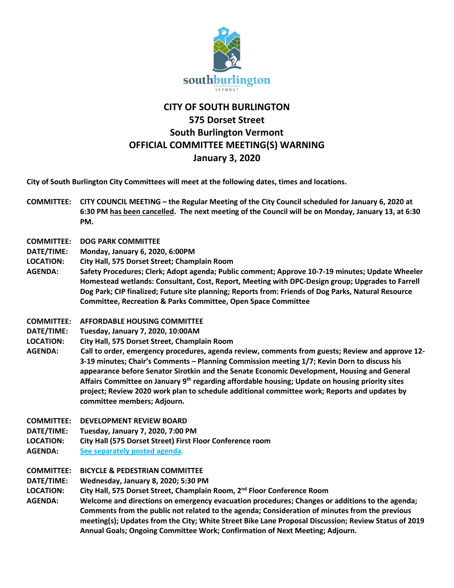

## **CITY OF SOUTH BURLINGTON 575 Dorset Street South Burlington Vermont OFFICIAL COMMITTEE MEETING(S) WARNING January 3, 2020**

**City of South Burlington City Committees will meet at the following dates, times and locations.** 

- **COMMITTEE: CITY COUNCIL MEETING – the Regular Meeting of the City Council scheduled for January 6, 2020 at 6:30 PM has been cancelled. The next meeting of the Council will be on Monday, January 13, at 6:30 PM.**
- **COMMITTEE: DOG PARK COMMITTEE**
- **DATE/TIME: Monday, January 6, 2020, 6:00PM**
- **LOCATION: City Hall, 575 Dorset Street; Champlain Room**
- **AGENDA: Safety Procedures; Clerk; Adopt agenda; Public comment; Approve 10-7-19 minutes; Update Wheeler Homestead wetlands: Consultant, Cost, Report, Meeting with DPC-Design group; Upgrades to Farrell Dog Park; CIP finalized; Future site planning; Reports from: Friends of Dog Parks, Natural Resource Committee, Recreation & Parks Committee, Open Space Committee**
- **COMMITTEE: AFFORDABLE HOUSING COMMITTEE**
- **DATE/TIME: Tuesday, January 7, 2020, 10:00AM**
- **LOCATION: City Hall, 575 Dorset Street, Champlain Room**
- **AGENDA: Call to order, emergency procedures, agenda review, comments from guests; Review and approve 12- 3-19 minutes; Chair's Comments – Planning Commission meeting 1/7; Kevin Dorn to discuss his appearance before Senator Sirotkin and the Senate Economic Development, Housing and General Affairs Committee on January 9th regarding affordable housing; Update on housing priority sites project; Review 2020 work plan to schedule additional committee work; Reports and updates by committee members; Adjourn.**
- **COMMITTEE: DEVELOPMENT REVIEW BOARD**
- **DATE/TIME: Tuesday, January 7, 2020, 7:00 PM**
- **LOCATION: City Hall (575 Dorset Street) First Floor Conference room**
- **AGENDA: [See separately posted agenda.](http://sbvt-records.info/WebLink/ElectronicFile.aspx?docid=83859&dbid=0&repo=sburl)**
- **COMMITTEE: BICYCLE & PEDESTRIAN COMMITTEE**
- **DATE/TIME: Wednesday, January 8, 2020; 5:30 PM**
- **LOCATION: City Hall, 575 Dorset Street, Champlain Room, 2nd Floor Conference Room**
- **AGENDA: Welcome and directions on emergency evacuation procedures; Changes or additions to the agenda; Comments from the public not related to the agenda; Consideration of minutes from the previous meeting(s); Updates from the City; White Street Bike Lane Proposal Discussion; Review Status of 2019 Annual Goals; Ongoing Committee Work; Confirmation of Next Meeting; Adjourn.**